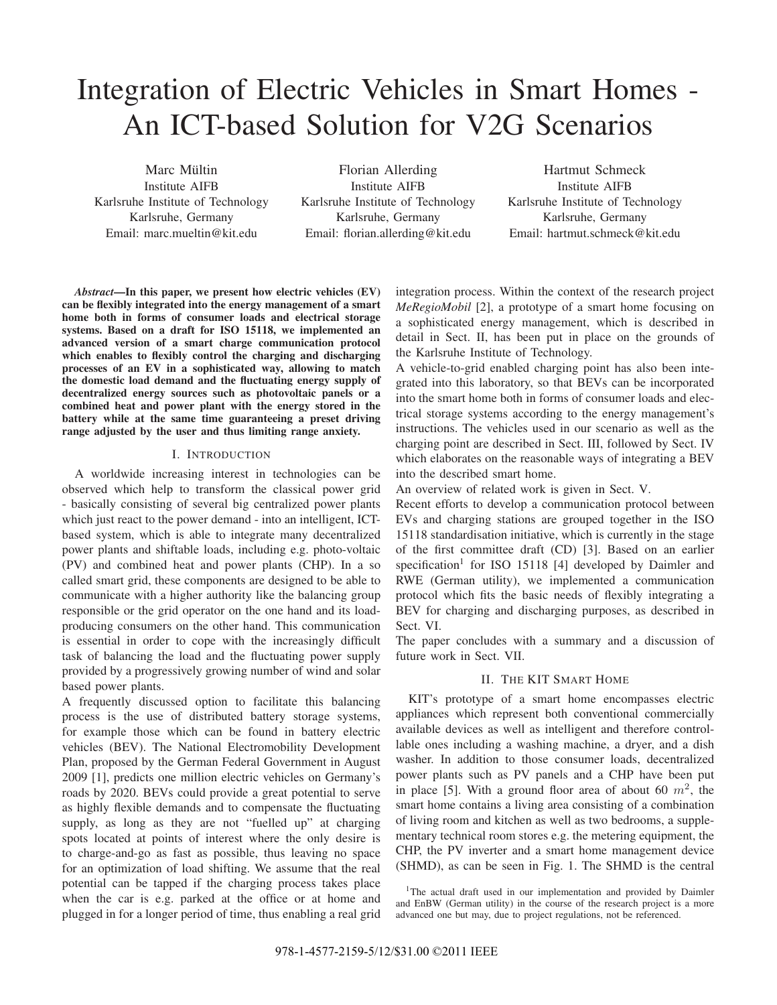# Integration of Electric Vehicles in Smart Homes - An ICT-based Solution for V2G Scenarios

Marc Mültin Institute AIFB Karlsruhe Institute of Technology Karlsruhe, Germany Email: marc.mueltin@kit.edu

Florian Allerding Institute AIFB Karlsruhe Institute of Technology Karlsruhe, Germany Email: florian.allerding@kit.edu

Hartmut Schmeck Institute AIFB Karlsruhe Institute of Technology Karlsruhe, Germany Email: hartmut.schmeck@kit.edu

*Abstract*—In this paper, we present how electric vehicles (EV) can be flexibly integrated into the energy management of a smart home both in forms of consumer loads and electrical storage systems. Based on a draft for ISO 15118, we implemented an advanced version of a smart charge communication protocol which enables to flexibly control the charging and discharging processes of an EV in a sophisticated way, allowing to match the domestic load demand and the fluctuating energy supply of decentralized energy sources such as photovoltaic panels or a combined heat and power plant with the energy stored in the battery while at the same time guaranteeing a preset driving range adjusted by the user and thus limiting range anxiety.

### I. INTRODUCTION

A worldwide increasing interest in technologies can be observed which help to transform the classical power grid - basically consisting of several big centralized power plants which just react to the power demand - into an intelligent, ICTbased system, which is able to integrate many decentralized power plants and shiftable loads, including e.g. photo-voltaic (PV) and combined heat and power plants (CHP). In a so called smart grid, these components are designed to be able to communicate with a higher authority like the balancing group responsible or the grid operator on the one hand and its loadproducing consumers on the other hand. This communication is essential in order to cope with the increasingly difficult task of balancing the load and the fluctuating power supply provided by a progressively growing number of wind and solar based power plants.

A frequently discussed option to facilitate this balancing process is the use of distributed battery storage systems, for example those which can be found in battery electric vehicles (BEV). The National Electromobility Development Plan, proposed by the German Federal Government in August 2009 [1], predicts one million electric vehicles on Germany's roads by 2020. BEVs could provide a great potential to serve as highly flexible demands and to compensate the fluctuating supply, as long as they are not "fuelled up" at charging spots located at points of interest where the only desire is to charge-and-go as fast as possible, thus leaving no space for an optimization of load shifting. We assume that the real potential can be tapped if the charging process takes place when the car is e.g. parked at the office or at home and plugged in for a longer period of time, thus enabling a real grid

integration process. Within the context of the research project *MeRegioMobil* [2], a prototype of a smart home focusing on a sophisticated energy management, which is described in detail in Sect. II, has been put in place on the grounds of the Karlsruhe Institute of Technology.

A vehicle-to-grid enabled charging point has also been integrated into this laboratory, so that BEVs can be incorporated into the smart home both in forms of consumer loads and electrical storage systems according to the energy management's instructions. The vehicles used in our scenario as well as the charging point are described in Sect. III, followed by Sect. IV which elaborates on the reasonable ways of integrating a BEV into the described smart home.

An overview of related work is given in Sect. V.

Recent efforts to develop a communication protocol between EVs and charging stations are grouped together in the ISO 15118 standardisation initiative, which is currently in the stage of the first committee draft (CD) [3]. Based on an earlier specification<sup>1</sup> for ISO 15118 [4] developed by Daimler and RWE (German utility), we implemented a communication protocol which fits the basic needs of flexibly integrating a BEV for charging and discharging purposes, as described in Sect. VI.

The paper concludes with a summary and a discussion of future work in Sect. VII.

## II. THE KIT SMART HOME

KIT's prototype of a smart home encompasses electric appliances which represent both conventional commercially available devices as well as intelligent and therefore controllable ones including a washing machine, a dryer, and a dish washer. In addition to those consumer loads, decentralized power plants such as PV panels and a CHP have been put in place [5]. With a ground floor area of about 60  $m^2$ , the smart home contains a living area consisting of a combination of living room and kitchen as well as two bedrooms, a supplementary technical room stores e.g. the metering equipment, the CHP, the PV inverter and a smart home management device (SHMD), as can be seen in Fig. 1. The SHMD is the central

<sup>1</sup>The actual draft used in our implementation and provided by Daimler and EnBW (German utility) in the course of the research project is a more advanced one but may, due to project regulations, not be referenced.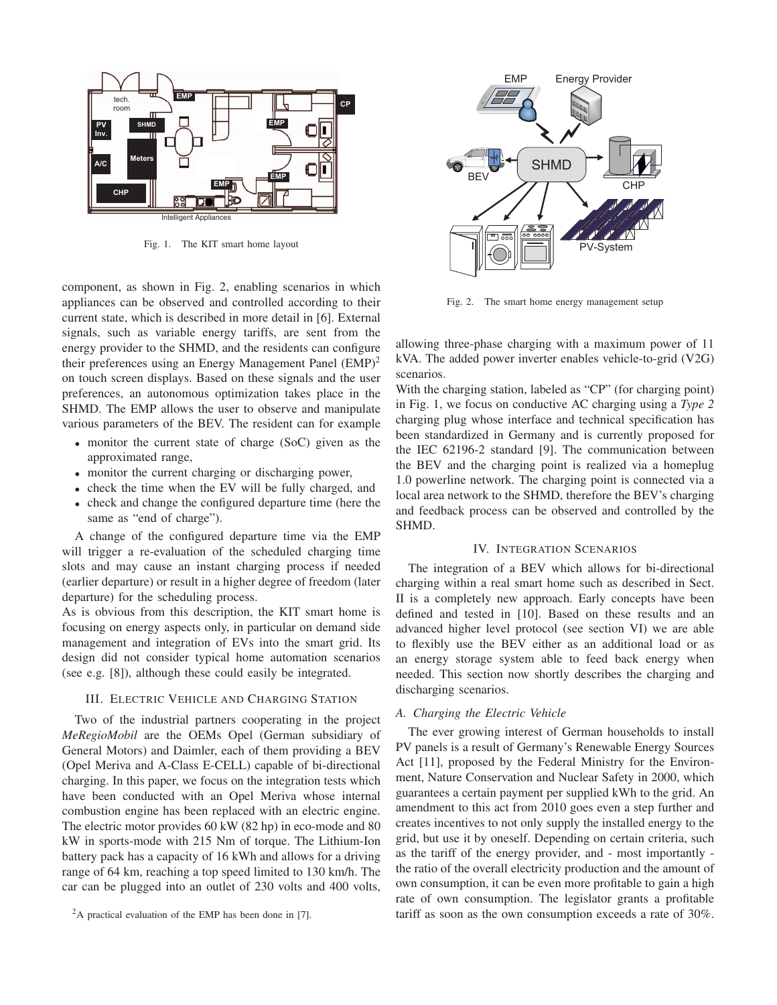

Fig. 1. The KIT smart home layout

component, as shown in Fig. 2, enabling scenarios in which appliances can be observed and controlled according to their current state, which is described in more detail in [6]. External signals, such as variable energy tariffs, are sent from the energy provider to the SHMD, and the residents can configure their preferences using an Energy Management Panel  $(EMP)^2$ on touch screen displays. Based on these signals and the user preferences, an autonomous optimization takes place in the SHMD. The EMP allows the user to observe and manipulate various parameters of the BEV. The resident can for example

- monitor the current state of charge (SoC) given as the approximated range,
- monitor the current charging or discharging power,
- check the time when the EV will be fully charged, and
- check and change the configured departure time (here the same as "end of charge").

A change of the configured departure time via the EMP will trigger a re-evaluation of the scheduled charging time slots and may cause an instant charging process if needed (earlier departure) or result in a higher degree of freedom (later departure) for the scheduling process.

As is obvious from this description, the KIT smart home is focusing on energy aspects only, in particular on demand side management and integration of EVs into the smart grid. Its design did not consider typical home automation scenarios (see e.g. [8]), although these could easily be integrated.

## III. ELECTRIC VEHICLE AND CHARGING STATION

Two of the industrial partners cooperating in the project *MeRegioMobil* are the OEMs Opel (German subsidiary of General Motors) and Daimler, each of them providing a BEV (Opel Meriva and A-Class E-CELL) capable of bi-directional charging. In this paper, we focus on the integration tests which have been conducted with an Opel Meriva whose internal combustion engine has been replaced with an electric engine. The electric motor provides 60 kW (82 hp) in eco-mode and 80 kW in sports-mode with 215 Nm of torque. The Lithium-Ion battery pack has a capacity of 16 kWh and allows for a driving range of 64 km, reaching a top speed limited to 130 km/h. The car can be plugged into an outlet of 230 volts and 400 volts,



Fig. 2. The smart home energy management setup

allowing three-phase charging with a maximum power of 11 kVA. The added power inverter enables vehicle-to-grid (V2G) scenarios.

With the charging station, labeled as "CP" (for charging point) in Fig. 1, we focus on conductive AC charging using a *Type 2* charging plug whose interface and technical specification has been standardized in Germany and is currently proposed for the IEC 62196-2 standard [9]. The communication between the BEV and the charging point is realized via a homeplug 1.0 powerline network. The charging point is connected via a local area network to the SHMD, therefore the BEV's charging and feedback process can be observed and controlled by the SHMD.

#### IV. INTEGRATION SCENARIOS

The integration of a BEV which allows for bi-directional charging within a real smart home such as described in Sect. II is a completely new approach. Early concepts have been defined and tested in [10]. Based on these results and an advanced higher level protocol (see section VI) we are able to flexibly use the BEV either as an additional load or as an energy storage system able to feed back energy when needed. This section now shortly describes the charging and discharging scenarios.

## *A. Charging the Electric Vehicle*

The ever growing interest of German households to install PV panels is a result of Germany's Renewable Energy Sources Act [11], proposed by the Federal Ministry for the Environment, Nature Conservation and Nuclear Safety in 2000, which guarantees a certain payment per supplied kWh to the grid. An amendment to this act from 2010 goes even a step further and creates incentives to not only supply the installed energy to the grid, but use it by oneself. Depending on certain criteria, such as the tariff of the energy provider, and - most importantly the ratio of the overall electricity production and the amount of own consumption, it can be even more profitable to gain a high rate of own consumption. The legislator grants a profitable tariff as soon as the own consumption exceeds a rate of 30%.

<sup>2</sup>A practical evaluation of the EMP has been done in [7].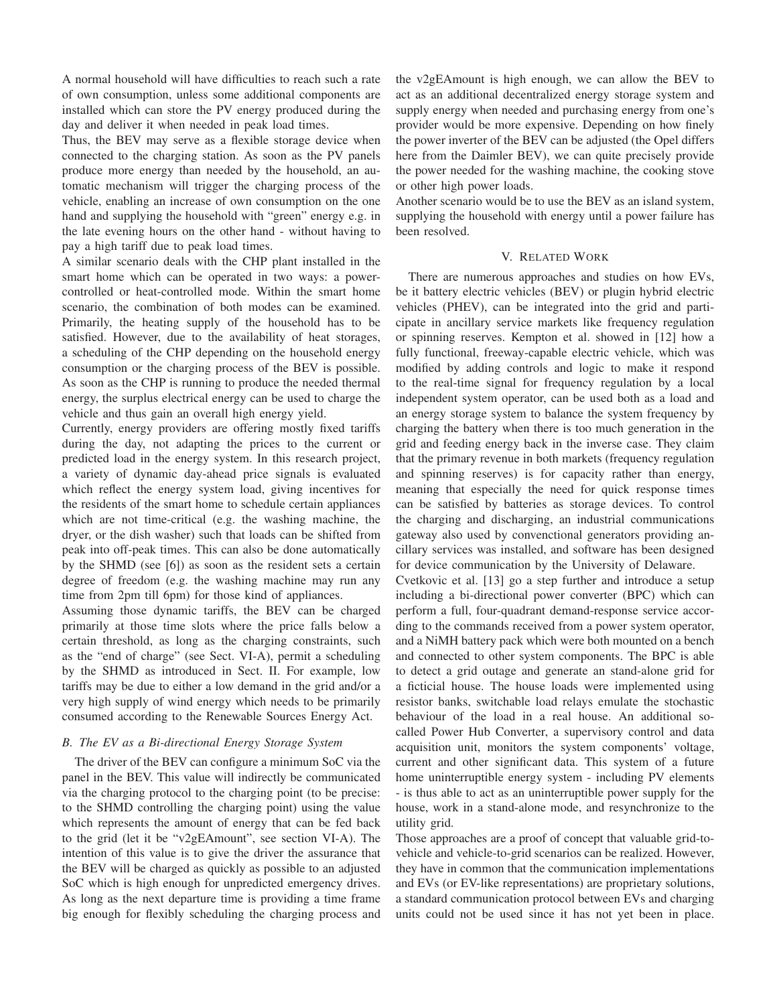A normal household will have difficulties to reach such a rate of own consumption, unless some additional components are installed which can store the PV energy produced during the day and deliver it when needed in peak load times.

Thus, the BEV may serve as a flexible storage device when connected to the charging station. As soon as the PV panels produce more energy than needed by the household, an automatic mechanism will trigger the charging process of the vehicle, enabling an increase of own consumption on the one hand and supplying the household with "green" energy e.g. in the late evening hours on the other hand - without having to pay a high tariff due to peak load times.

A similar scenario deals with the CHP plant installed in the smart home which can be operated in two ways: a powercontrolled or heat-controlled mode. Within the smart home scenario, the combination of both modes can be examined. Primarily, the heating supply of the household has to be satisfied. However, due to the availability of heat storages, a scheduling of the CHP depending on the household energy consumption or the charging process of the BEV is possible. As soon as the CHP is running to produce the needed thermal energy, the surplus electrical energy can be used to charge the vehicle and thus gain an overall high energy yield.

Currently, energy providers are offering mostly fixed tariffs during the day, not adapting the prices to the current or predicted load in the energy system. In this research project, a variety of dynamic day-ahead price signals is evaluated which reflect the energy system load, giving incentives for the residents of the smart home to schedule certain appliances which are not time-critical (e.g. the washing machine, the dryer, or the dish washer) such that loads can be shifted from peak into off-peak times. This can also be done automatically by the SHMD (see [6]) as soon as the resident sets a certain degree of freedom (e.g. the washing machine may run any time from 2pm till 6pm) for those kind of appliances.

Assuming those dynamic tariffs, the BEV can be charged primarily at those time slots where the price falls below a certain threshold, as long as the charging constraints, such as the "end of charge" (see Sect. VI-A), permit a scheduling by the SHMD as introduced in Sect. II. For example, low tariffs may be due to either a low demand in the grid and/or a very high supply of wind energy which needs to be primarily consumed according to the Renewable Sources Energy Act.

## *B. The EV as a Bi-directional Energy Storage System*

The driver of the BEV can configure a minimum SoC via the panel in the BEV. This value will indirectly be communicated via the charging protocol to the charging point (to be precise: to the SHMD controlling the charging point) using the value which represents the amount of energy that can be fed back to the grid (let it be "v2gEAmount", see section VI-A). The intention of this value is to give the driver the assurance that the BEV will be charged as quickly as possible to an adjusted SoC which is high enough for unpredicted emergency drives. As long as the next departure time is providing a time frame big enough for flexibly scheduling the charging process and the v2gEAmount is high enough, we can allow the BEV to act as an additional decentralized energy storage system and supply energy when needed and purchasing energy from one's provider would be more expensive. Depending on how finely the power inverter of the BEV can be adjusted (the Opel differs here from the Daimler BEV), we can quite precisely provide the power needed for the washing machine, the cooking stove or other high power loads.

Another scenario would be to use the BEV as an island system, supplying the household with energy until a power failure has been resolved.

## V. RELATED WORK

There are numerous approaches and studies on how EVs, be it battery electric vehicles (BEV) or plugin hybrid electric vehicles (PHEV), can be integrated into the grid and participate in ancillary service markets like frequency regulation or spinning reserves. Kempton et al. showed in [12] how a fully functional, freeway-capable electric vehicle, which was modified by adding controls and logic to make it respond to the real-time signal for frequency regulation by a local independent system operator, can be used both as a load and an energy storage system to balance the system frequency by charging the battery when there is too much generation in the grid and feeding energy back in the inverse case. They claim that the primary revenue in both markets (frequency regulation and spinning reserves) is for capacity rather than energy, meaning that especially the need for quick response times can be satisfied by batteries as storage devices. To control the charging and discharging, an industrial communications gateway also used by convenctional generators providing ancillary services was installed, and software has been designed for device communication by the University of Delaware.

Cvetkovic et al. [13] go a step further and introduce a setup including a bi-directional power converter (BPC) which can perform a full, four-quadrant demand-response service according to the commands received from a power system operator, and a NiMH battery pack which were both mounted on a bench and connected to other system components. The BPC is able to detect a grid outage and generate an stand-alone grid for a ficticial house. The house loads were implemented using resistor banks, switchable load relays emulate the stochastic behaviour of the load in a real house. An additional socalled Power Hub Converter, a supervisory control and data acquisition unit, monitors the system components' voltage, current and other significant data. This system of a future home uninterruptible energy system - including PV elements - is thus able to act as an uninterruptible power supply for the house, work in a stand-alone mode, and resynchronize to the utility grid.

Those approaches are a proof of concept that valuable grid-tovehicle and vehicle-to-grid scenarios can be realized. However, they have in common that the communication implementations and EVs (or EV-like representations) are proprietary solutions, a standard communication protocol between EVs and charging units could not be used since it has not yet been in place.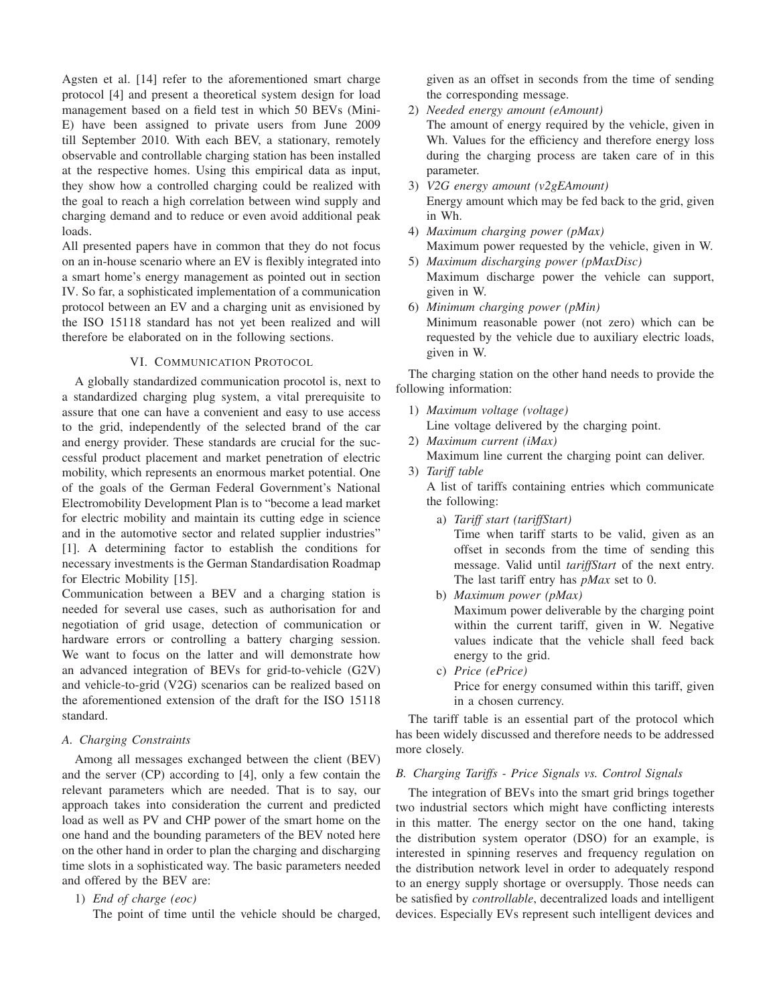Agsten et al. [14] refer to the aforementioned smart charge protocol [4] and present a theoretical system design for load management based on a field test in which 50 BEVs (Mini-E) have been assigned to private users from June 2009 till September 2010. With each BEV, a stationary, remotely observable and controllable charging station has been installed at the respective homes. Using this empirical data as input, they show how a controlled charging could be realized with the goal to reach a high correlation between wind supply and charging demand and to reduce or even avoid additional peak loads.

All presented papers have in common that they do not focus on an in-house scenario where an EV is flexibly integrated into a smart home's energy management as pointed out in section IV. So far, a sophisticated implementation of a communication protocol between an EV and a charging unit as envisioned by the ISO 15118 standard has not yet been realized and will therefore be elaborated on in the following sections.

## VI. COMMUNICATION PROTOCOL

A globally standardized communication procotol is, next to a standardized charging plug system, a vital prerequisite to assure that one can have a convenient and easy to use access to the grid, independently of the selected brand of the car and energy provider. These standards are crucial for the successful product placement and market penetration of electric mobility, which represents an enormous market potential. One of the goals of the German Federal Government's National Electromobility Development Plan is to "become a lead market for electric mobility and maintain its cutting edge in science and in the automotive sector and related supplier industries" [1]. A determining factor to establish the conditions for necessary investments is the German Standardisation Roadmap for Electric Mobility [15].

Communication between a BEV and a charging station is needed for several use cases, such as authorisation for and negotiation of grid usage, detection of communication or hardware errors or controlling a battery charging session. We want to focus on the latter and will demonstrate how an advanced integration of BEVs for grid-to-vehicle (G2V) and vehicle-to-grid (V2G) scenarios can be realized based on the aforementioned extension of the draft for the ISO 15118 standard.

## *A. Charging Constraints*

Among all messages exchanged between the client (BEV) and the server (CP) according to [4], only a few contain the relevant parameters which are needed. That is to say, our approach takes into consideration the current and predicted load as well as PV and CHP power of the smart home on the one hand and the bounding parameters of the BEV noted here on the other hand in order to plan the charging and discharging time slots in a sophisticated way. The basic parameters needed and offered by the BEV are:

1) *End of charge (eoc)*

The point of time until the vehicle should be charged,

given as an offset in seconds from the time of sending the corresponding message.

2) *Needed energy amount (eAmount)*

The amount of energy required by the vehicle, given in Wh. Values for the efficiency and therefore energy loss during the charging process are taken care of in this parameter.

- 3) *V2G energy amount (v2gEAmount)* Energy amount which may be fed back to the grid, given in Wh.
- 4) *Maximum charging power (pMax)* Maximum power requested by the vehicle, given in W.
- 5) *Maximum discharging power (pMaxDisc)* Maximum discharge power the vehicle can support, given in W.
- 6) *Minimum charging power (pMin)* Minimum reasonable power (not zero) which can be requested by the vehicle due to auxiliary electric loads, given in W.

The charging station on the other hand needs to provide the following information:

- 1) *Maximum voltage (voltage)* Line voltage delivered by the charging point.
- 2) *Maximum current (iMax)* Maximum line current the charging point can deliver.
- 3) *Tariff table*

A list of tariffs containing entries which communicate the following:

a) *Tariff start (tariffStart)*

Time when tariff starts to be valid, given as an offset in seconds from the time of sending this message. Valid until *tariffStart* of the next entry. The last tariff entry has *pMax* set to 0.

b) *Maximum power (pMax)*

Maximum power deliverable by the charging point within the current tariff, given in W. Negative values indicate that the vehicle shall feed back energy to the grid.

c) *Price (ePrice)* Price for energy consumed within this tariff, given in a chosen currency.

The tariff table is an essential part of the protocol which has been widely discussed and therefore needs to be addressed more closely.

## *B. Charging Tariffs - Price Signals vs. Control Signals*

The integration of BEVs into the smart grid brings together two industrial sectors which might have conflicting interests in this matter. The energy sector on the one hand, taking the distribution system operator (DSO) for an example, is interested in spinning reserves and frequency regulation on the distribution network level in order to adequately respond to an energy supply shortage or oversupply. Those needs can be satisfied by *controllable*, decentralized loads and intelligent devices. Especially EVs represent such intelligent devices and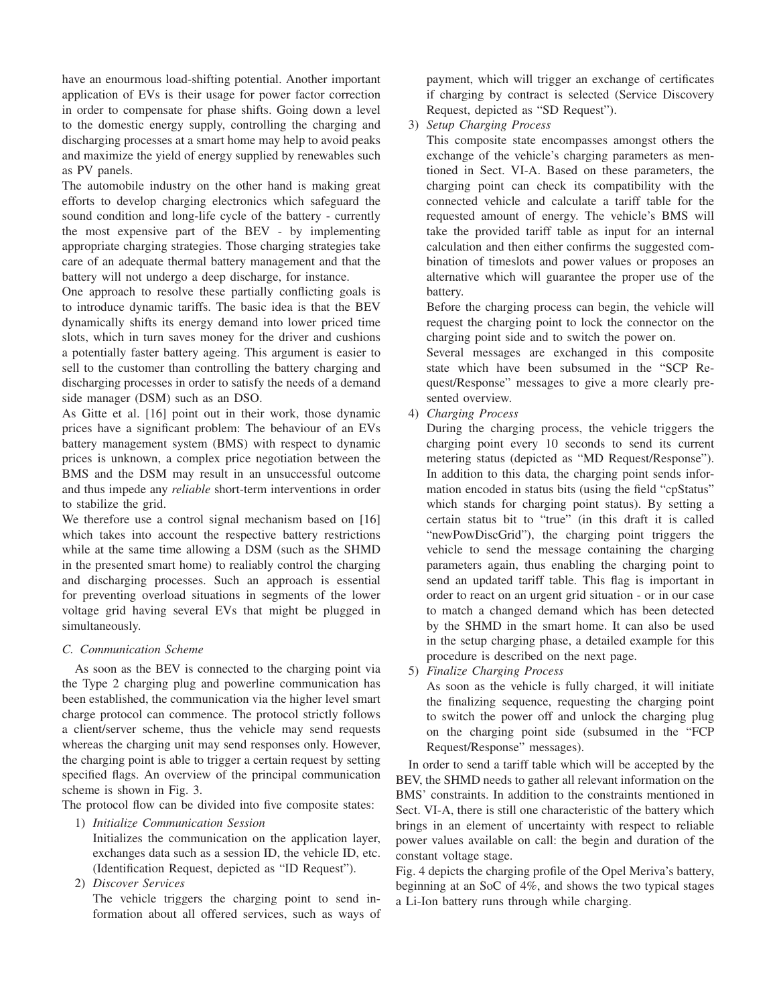have an enourmous load-shifting potential. Another important application of EVs is their usage for power factor correction in order to compensate for phase shifts. Going down a level to the domestic energy supply, controlling the charging and discharging processes at a smart home may help to avoid peaks and maximize the yield of energy supplied by renewables such as PV panels.

The automobile industry on the other hand is making great efforts to develop charging electronics which safeguard the sound condition and long-life cycle of the battery - currently the most expensive part of the BEV - by implementing appropriate charging strategies. Those charging strategies take care of an adequate thermal battery management and that the battery will not undergo a deep discharge, for instance.

One approach to resolve these partially conflicting goals is to introduce dynamic tariffs. The basic idea is that the BEV dynamically shifts its energy demand into lower priced time slots, which in turn saves money for the driver and cushions a potentially faster battery ageing. This argument is easier to sell to the customer than controlling the battery charging and discharging processes in order to satisfy the needs of a demand side manager (DSM) such as an DSO.

As Gitte et al. [16] point out in their work, those dynamic prices have a significant problem: The behaviour of an EVs battery management system (BMS) with respect to dynamic prices is unknown, a complex price negotiation between the BMS and the DSM may result in an unsuccessful outcome and thus impede any *reliable* short-term interventions in order to stabilize the grid.

We therefore use a control signal mechanism based on [16] which takes into account the respective battery restrictions while at the same time allowing a DSM (such as the SHMD in the presented smart home) to realiably control the charging and discharging processes. Such an approach is essential for preventing overload situations in segments of the lower voltage grid having several EVs that might be plugged in simultaneously.

# *C. Communication Scheme*

As soon as the BEV is connected to the charging point via the Type 2 charging plug and powerline communication has been established, the communication via the higher level smart charge protocol can commence. The protocol strictly follows a client/server scheme, thus the vehicle may send requests whereas the charging unit may send responses only. However, the charging point is able to trigger a certain request by setting specified flags. An overview of the principal communication scheme is shown in Fig. 3.

The protocol flow can be divided into five composite states:

1) *Initialize Communication Session*

Initializes the communication on the application layer, exchanges data such as a session ID, the vehicle ID, etc. (Identification Request, depicted as "ID Request").

2) *Discover Services*

The vehicle triggers the charging point to send information about all offered services, such as ways of payment, which will trigger an exchange of certificates if charging by contract is selected (Service Discovery Request, depicted as "SD Request").

3) *Setup Charging Process*

This composite state encompasses amongst others the exchange of the vehicle's charging parameters as mentioned in Sect. VI-A. Based on these parameters, the charging point can check its compatibility with the connected vehicle and calculate a tariff table for the requested amount of energy. The vehicle's BMS will take the provided tariff table as input for an internal calculation and then either confirms the suggested combination of timeslots and power values or proposes an alternative which will guarantee the proper use of the battery.

Before the charging process can begin, the vehicle will request the charging point to lock the connector on the charging point side and to switch the power on.

Several messages are exchanged in this composite state which have been subsumed in the "SCP Request/Response" messages to give a more clearly presented overview.

4) *Charging Process*

During the charging process, the vehicle triggers the charging point every 10 seconds to send its current metering status (depicted as "MD Request/Response"). In addition to this data, the charging point sends information encoded in status bits (using the field "cpStatus" which stands for charging point status). By setting a certain status bit to "true" (in this draft it is called "newPowDiscGrid"), the charging point triggers the vehicle to send the message containing the charging parameters again, thus enabling the charging point to send an updated tariff table. This flag is important in order to react on an urgent grid situation - or in our case to match a changed demand which has been detected by the SHMD in the smart home. It can also be used in the setup charging phase, a detailed example for this procedure is described on the next page.

5) *Finalize Charging Process*

As soon as the vehicle is fully charged, it will initiate the finalizing sequence, requesting the charging point to switch the power off and unlock the charging plug on the charging point side (subsumed in the "FCP Request/Response" messages).

In order to send a tariff table which will be accepted by the BEV, the SHMD needs to gather all relevant information on the BMS' constraints. In addition to the constraints mentioned in Sect. VI-A, there is still one characteristic of the battery which brings in an element of uncertainty with respect to reliable power values available on call: the begin and duration of the constant voltage stage.

Fig. 4 depicts the charging profile of the Opel Meriva's battery, beginning at an SoC of 4%, and shows the two typical stages a Li-Ion battery runs through while charging.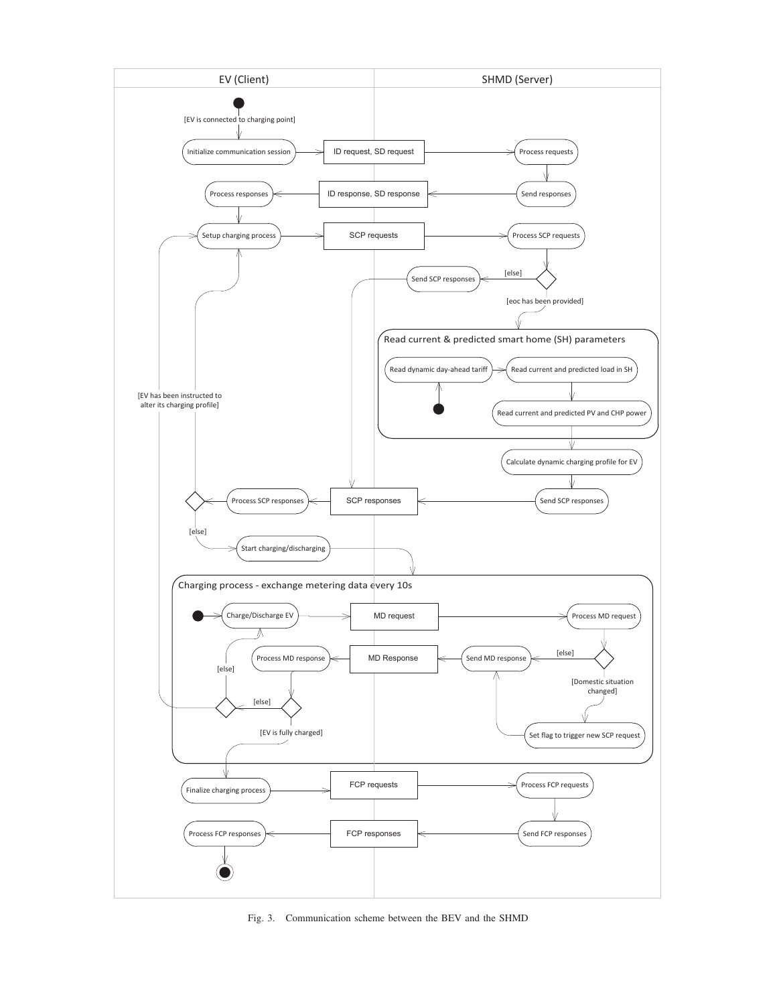

Fig. 3. Communication scheme between the BEV and the SHMD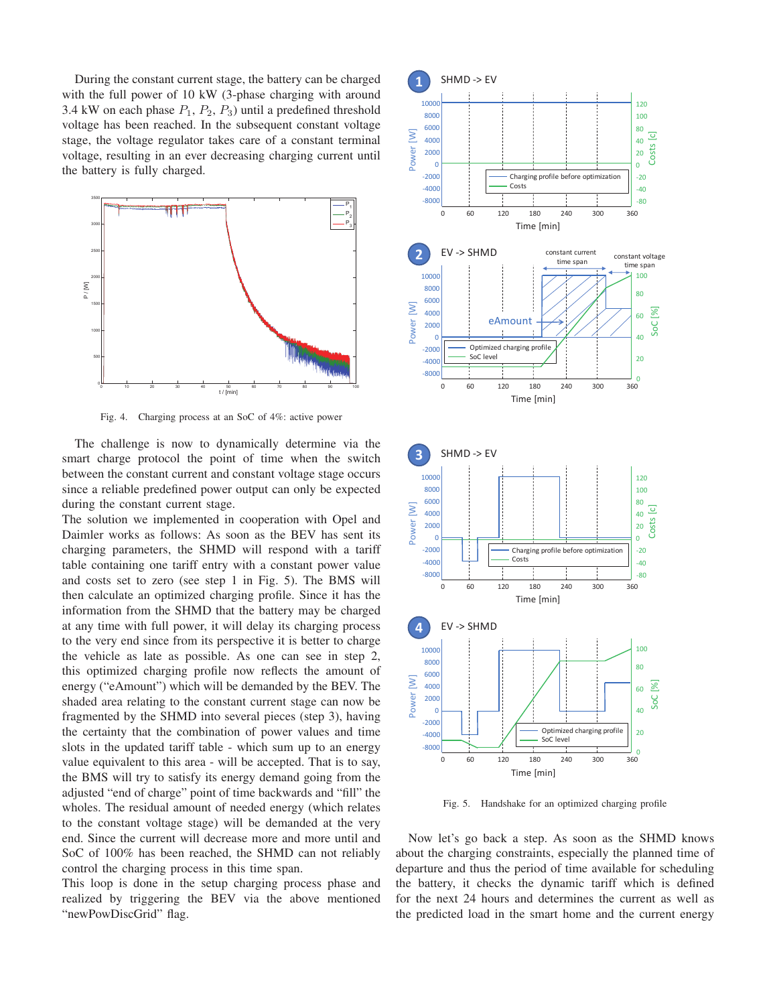During the constant current stage, the battery can be charged with the full power of 10 kW (3-phase charging with around 3.4 kW on each phase  $P_1$ ,  $P_2$ ,  $P_3$ ) until a predefined threshold voltage has been reached. In the subsequent constant voltage stage, the voltage regulator takes care of a constant terminal voltage, resulting in an ever decreasing charging current until the battery is fully charged.



Fig. 4. Charging process at an SoC of 4%: active power

The challenge is now to dynamically determine via the smart charge protocol the point of time when the switch between the constant current and constant voltage stage occurs since a reliable predefined power output can only be expected during the constant current stage.

The solution we implemented in cooperation with Opel and Daimler works as follows: As soon as the BEV has sent its charging parameters, the SHMD will respond with a tariff table containing one tariff entry with a constant power value and costs set to zero (see step 1 in Fig. 5). The BMS will then calculate an optimized charging profile. Since it has the information from the SHMD that the battery may be charged at any time with full power, it will delay its charging process to the very end since from its perspective it is better to charge the vehicle as late as possible. As one can see in step 2, this optimized charging profile now reflects the amount of energy ("eAmount") which will be demanded by the BEV. The shaded area relating to the constant current stage can now be fragmented by the SHMD into several pieces (step 3), having the certainty that the combination of power values and time slots in the updated tariff table - which sum up to an energy value equivalent to this area - will be accepted. That is to say, the BMS will try to satisfy its energy demand going from the adjusted "end of charge" point of time backwards and "fill" the wholes. The residual amount of needed energy (which relates to the constant voltage stage) will be demanded at the very end. Since the current will decrease more and more until and SoC of 100% has been reached, the SHMD can not reliably control the charging process in this time span.

This loop is done in the setup charging process phase and realized by triggering the BEV via the above mentioned "newPowDiscGrid" flag.



Fig. 5. Handshake for an optimized charging profile

Now let's go back a step. As soon as the SHMD knows about the charging constraints, especially the planned time of departure and thus the period of time available for scheduling the battery, it checks the dynamic tariff which is defined for the next 24 hours and determines the current as well as the predicted load in the smart home and the current energy